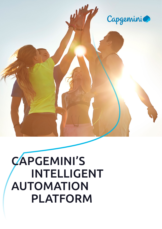

# CAPGEMINI'S INTELLIGENT AUTOMATION PLATFORM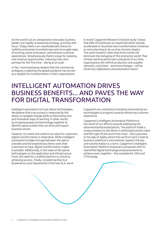As the world is at an unexpected crossroads, business leaders are rapidly re-assessing strategy, priorities and focus. Today, there is an unprecedented chance to redefine enterprise; to embed new and more agile ways of working, boost innovation, and enhance customer experiences. Simultaneously there's scope for realizing new revenue opportunities, reducing costs and – perhaps for the first time – doing so at scale.

In fact, most businesses believe that the commercial ambiguity created by the global pandemic has served as a catalyst for transformation in their organizations.

A recent Capgemini Research Institute study<sup>1</sup> shows that 68% of businesses surveyed had either already accelerated or launched new transformation initiatives or were planning to do so once recovery begins. The same research notes that three trends will dominate the reshaping of the enterprise world: That remote working will be part and parcel of our lives, organizations will rethink production and supplier networks, and these – and more changes – will be driven by a digitization and automation boom.

# INTELLIGENT AUTOMATION DRIVES BUSINESS BENEFITS... AND PAVES THE WAY FOR DIGITAL TRANSFORMATION

Intelligent automation isn't just about technologies. We believe that true success is measured by the ability to navigate change while orchestrating new and innovative ways of working. In other words, by bringing people and technology together to identify opportunities that can drive and impact business results.

However, to create and unlock true value for customers, digital transformation is imperative. While intelligent automation bridges the gap between the data it provides and the experiences clients want their customers to have, digital transformation makes it possible. Additionally, in the wake of disruptive technologies on the application and infrastructure front, the need for a unified platform is critical to achieving success. Finally, considering that XLA (Experience Level Agreement) is the new SLA, we at

Capgemini are constantly innovating and evolving our technologies to progress towards enhancing customer experience.

Capgemini's Intelligent Automation Platform is the result of our efforts towards addressing the aforementioned expectations. The platform holds a unique position to aid clients in achieving business value and ROI right till the end of the chain – the customers. In the Age of Agility where the world of work is hybrid, business resilience is instrumental, speed is the key, and transformation is a norm, Capgemini's Intelligent Automation Platform empowers companies with its intensified digital technological advancements to achieve more, together – the mandate for CIOs and CTOs today.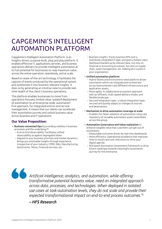# CAPGEMINI'S INTELLIGENT AUTOMATION PLATFORM

Capgemini's Intelligent Automation Platform is an insights-driven, purpose-built, plug and play platform. It enables effective IT, applications services, and business operations delivery to provide intelligent automation at its full potential for businesses to reap maximum value across the entire operation, seamlessly, and at scale.

Based on state-of-the-art technology, it facilitates the capture of events produced by the operational system and synthesizes it into business relevant insights. It does so by generating an intuitive view to provide realtime health of the client's business operations.

The platform enables businesses to move from operations focused, limited value, isolated deployment of automation to an enterprise-wide, automationfirst approach, for integrated end-to-end service management. It means that our clients can accelerate their automation journey and unlock business value across business and IT operations.

#### **Our Value Proposition:**

- Business connected Ops by providing visibility in business processes and the underlying IT:
	- End-to-End observability: Facilitates unified observability as against segregated siloes.
	- Aligned to your business priorities and market dynamics: Brings you actionable insights through experience, irrespective of your industry: CPRD, E&U, Manufacturing, Automotive, Telcos, Financial services, etc.

– Business insights: Tracks business KPIs over a seamlessly integrated IT layer and gives a holistic view; dashboard backed up by relevant data, not only on financial or accounting processes, but also on supply chain, asset management, etc. helping all C-Levels in your organization.

#### • Unified automation platform:

- Hybrid Teams and Environment need platform driven automation which can integrate and orchestrate across teams/vendors and different infrastructure and application assets.
- More agility: A collaborative ecosystem approach with an efficient, multi-speed delivery model, and flexible landscape.
- Secured Integration layer: a robust integration layer, secured and quickly adapts to changes at sources and destinations.
- Mechanism to drive automation coverage at scale: – Enablers for faster adoption of automation using vast repository of reusable automation assets assembled across the group.
- Automation Governance and Value realization to enhance tangible value that customers can get out of automation:
	- Measurable outcomes driven by real time dashboards.
	- More efficiency: Operational excellence that improves time to results and cost reductions to drive your digital agenda.
	- ROI based Automation Assessment framework to drive future roadmaps towards meaningful automation journey for the enterprise.

*Artificial intelligence, analytics, and automation, while offering transformative potential business value, need an integrated approach across data, processes, and technologies. When deployed in isolated use cases at task-automation levels, they do not scale and provide their expected transformational impact on end-to-end process outcomes."<sup>2</sup>*

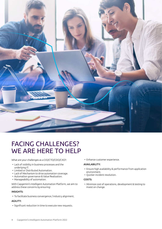

# FACING CHALLENGES? WE ARE HERE TO HELP

What are your challenges as a CIO/CTO/CDO/CXO?:

- Lack of visibility in business processes and the underlying IT.
- Limited or Distributed Automation.
- Lack of Mechanism to drive automation coverage.
- Automation governance & Value Realization.
- Manageability of automation.

With Capgemini's Intelligent Automation Platform, we aim to address these concerns by ensuring:

#### INSIGHTS:

• To facilitate business convergence / industry alignment.

#### AGILITY:

• Significant reduction in time to execute new requests.

• Enhance customer experience.

#### AVAILABILITY:

- Ensure high availability & performance from application environment.
- Quicker incident resolution.

#### COSTS:

• Minimize cost of operations, development & testing to invest on change.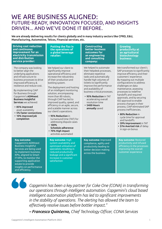## WE ARE BUSINESS ALIGNED: FUTURE-READY, INNOVATION FOCUSED, AND INSIGHTS DRIVEN... AND WE'VE DONE IT BEFORE.

We are already delivering results for clients globally and in many industry sectors like CPRD, E&U, Manufacturing, Automotive, Telcos, Financial services, etc.

| <b>Driving cost reduction</b><br>and continuous<br>improvement for an<br>electricity transmission<br>and distribution<br>service provider:                                                                                                                                                                                                                                                                                            | <b>Putting the fizz in</b><br>the operations of<br>a global beverage<br>retailer:                                                                                                                                                                                                                                                                                                                                                                                                                                                                                                                  | <b>Constructing</b><br><b>better business</b><br>outcomes for<br>an engineering<br>and consulting<br>company:                                                                                                                                                                                                                                        | <b>Growing</b><br>productivity at<br>an agricultural<br>biotechnology<br>business:                                                                                                                                                                                                                                                                                                                                                                                                                                                                                                |
|---------------------------------------------------------------------------------------------------------------------------------------------------------------------------------------------------------------------------------------------------------------------------------------------------------------------------------------------------------------------------------------------------------------------------------------|----------------------------------------------------------------------------------------------------------------------------------------------------------------------------------------------------------------------------------------------------------------------------------------------------------------------------------------------------------------------------------------------------------------------------------------------------------------------------------------------------------------------------------------------------------------------------------------------------|------------------------------------------------------------------------------------------------------------------------------------------------------------------------------------------------------------------------------------------------------------------------------------------------------------------------------------------------------|-----------------------------------------------------------------------------------------------------------------------------------------------------------------------------------------------------------------------------------------------------------------------------------------------------------------------------------------------------------------------------------------------------------------------------------------------------------------------------------------------------------------------------------------------------------------------------------|
| The company was looking<br>to better align the<br>underlying applications<br>and infrastructure to<br>business processes to drive<br>improved efficiency &<br>resilience and reduce cost.<br>By implementing CIAP<br>for Business through<br>Capgemini's <b>ADMnext</b><br><b>Business Insightful</b><br>Services we achieved:<br>• 85% improved<br>asset availability<br>• 5% faster connections<br>• 10% improved job<br>completion | We helped our client to<br>significantly improve<br>operational efficiency and<br>increase the robustness<br>of their production and<br>bottling system.<br>The deployment and hosting<br>of an intelligent monitoring<br>solution, encompassing<br>more than 80 robots,<br>through CIAP has led to<br>improved quality, speed, and<br>efficiency in an agile, secure,<br>and scalable manner across<br>our client's operations.<br>• 95% Reduction in<br>turnaround time (TAT) for<br>addressing dispute cases<br>$\cdot$ 100%<br>Schedule adherence<br>• 70% High impact<br>activities automated | We helped to automate<br>their helpdesk processes,<br>eliminate repetitive<br>tasks and automatically<br>handle high volumes of<br>tickets to significantly<br>improve the performance<br>and availability of<br>business-critical processes.<br>• 95% Reduction in TAT<br>accelerating overall<br>resolution time<br>• 5400 Hours<br>annually saved | We transformed our client's<br>SAP processes to significantly<br>improve efficiency and their<br>customers' experience.<br>By mapping out multiple<br>configurations to address<br>challenges on data<br>maintenance, assessing<br>processes to redefine<br>handoffs and required<br>approvals, and by securing<br>ISO approval to enable<br>process changes in their<br>process, CIAP eliminated SAP<br>process inefficiencies.<br>• 80% Reduction in<br>cycle time for approval<br>and handoffs<br>• 59% Improvement in TAT<br>• \$7m Averted risk of delay<br>in sign-on bonus |
| <b>Key outcome:</b><br>Capgemini's ADMnext<br><b>Business Insightful</b><br>Services are being used<br>to implement business<br>KPIs, aligned to Smart<br>IT KPIs, to monitor the<br>supporting application<br>estate to provide<br>insights on performance<br>and efficiency.                                                                                                                                                        | Key outcome: High<br>system availability and<br>optimized utilization of<br>specialists resulting in<br>reduced productivity<br>leakage and a significant<br>increase in customer<br>satisfaction                                                                                                                                                                                                                                                                                                                                                                                                  | Key outcome: Improved<br>compliance, agility and<br>productivity leading to<br>better decision making<br>across the business                                                                                                                                                                                                                         | Key outcome: Restored<br>productivity and infused<br>efficiency in the processes<br>improving the overall<br>customer experience                                                                                                                                                                                                                                                                                                                                                                                                                                                  |

*Capgemini has been a key partner for Coke One (CONA) in transforming our operations through intelligent automation. Capgemini's cloud based intelligent automation platform has led to significant improvements in the stability of operations. The alerting has allowed the team to effectively resolve issues before bottler impact."*

*– Francesco Quinterno, Chief Technology Officer, CONA Services*